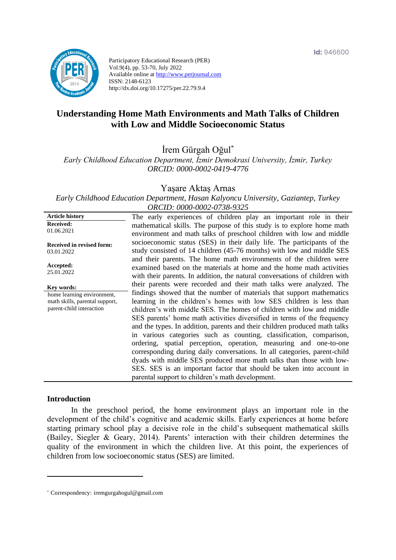

Participatory Educational Research (PER) Vol.9(4), pp. 53-70, July 2022 Available online at http://www.perjournal.com ISSN: 2148-6123 http://dx.doi.org/10.17275/per.22.79.9.4

# **Understanding Home Math Environments and Math Talks of Children with Low and Middle Socioeconomic Status**

İrem Gürgah Oğul\*

*Early Childhood Education Department, İzmir Demokrasi University, İzmir, Turkey ORCID: 0000-0002-0419-4776*

## Yaşare Aktaş Arnas

*Early Childhood Education Department, Hasan Kalyoncu University, Gaziantep, Turkey ORCID: 0000-0002-0738-9325*

| <b>Article history</b>                                                                                 | The early experiences of children play an important role in their                                                                                                                                                                                                                                                                                                                                                                                                                                                                                                                                                                                                                                                                                                                                                                                                                 |
|--------------------------------------------------------------------------------------------------------|-----------------------------------------------------------------------------------------------------------------------------------------------------------------------------------------------------------------------------------------------------------------------------------------------------------------------------------------------------------------------------------------------------------------------------------------------------------------------------------------------------------------------------------------------------------------------------------------------------------------------------------------------------------------------------------------------------------------------------------------------------------------------------------------------------------------------------------------------------------------------------------|
| <b>Received:</b><br>01.06.2021                                                                         | mathematical skills. The purpose of this study is to explore home math<br>environment and math talks of preschool children with low and middle                                                                                                                                                                                                                                                                                                                                                                                                                                                                                                                                                                                                                                                                                                                                    |
| <b>Received in revised form:</b><br>03.01.2022                                                         | socioeconomic status (SES) in their daily life. The participants of the<br>study consisted of 14 children (45-76 months) with low and middle SES<br>and their parents. The home math environments of the children were                                                                                                                                                                                                                                                                                                                                                                                                                                                                                                                                                                                                                                                            |
| Accepted:<br>25.01.2022                                                                                | examined based on the materials at home and the home math activities<br>with their parents. In addition, the natural conversations of children with                                                                                                                                                                                                                                                                                                                                                                                                                                                                                                                                                                                                                                                                                                                               |
| Key words:<br>home learning environment,<br>math skills, parental support,<br>parent-child interaction | their parents were recorded and their math talks were analyzed. The<br>findings showed that the number of materials that support mathematics<br>learning in the children's homes with low SES children is less than<br>children's with middle SES. The homes of children with low and middle<br>SES parents' home math activities diversified in terms of the frequency<br>and the types. In addition, parents and their children produced math talks<br>in various categories such as counting, classification, comparison,<br>ordering, spatial perception, operation, measuring and one-to-one<br>corresponding during daily conversations. In all categories, parent-child<br>dyads with middle SES produced more math talks than those with low-<br>SES. SES is an important factor that should be taken into account in<br>parental support to children's math development. |
|                                                                                                        |                                                                                                                                                                                                                                                                                                                                                                                                                                                                                                                                                                                                                                                                                                                                                                                                                                                                                   |

#### **Introduction**

In the preschool period, the home environment plays an important role in the development of the child's cognitive and academic skills. Early experiences at home before starting primary school play a decisive role in the child's subsequent mathematical skills (Bailey, Siegler & Geary, 2014). Parents' interaction with their children determines the quality of the environment in which the children live. At this point, the experiences of children from low socioeconomic status (SES) are limited.

<sup>\*</sup> [Correspondency:](mailto:Correspondency:) iremgurgahogul@gmail.com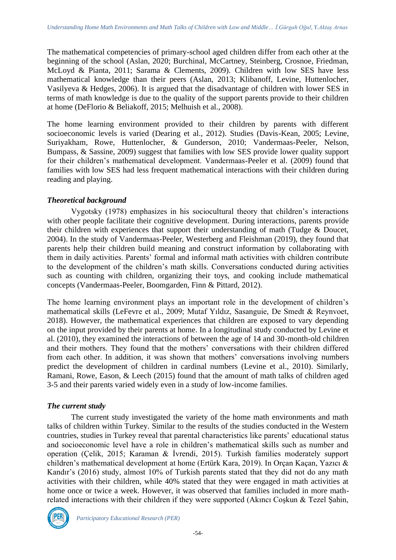The mathematical competencies of primary-school aged children differ from each other at the beginning of the school (Aslan, 2020; Burchinal, McCartney, Steinberg, Crosnoe, Friedman, McLoyd & Pianta, 2011; Sarama & Clements, 2009). Children with low SES have less mathematical knowledge than their peers (Aslan, 2013; Klibanoff, Levine, Huttenlocher, Vasilyeva & Hedges, 2006). It is argued that the disadvantage of children with lower SES in terms of math knowledge is due to the quality of the support parents provide to their children at home (DeFlorio & Beliakoff, 2015; Melhuish et al., 2008).

The home learning environment provided to their children by parents with different socioeconomic levels is varied (Dearing et al., 2012). Studies (Davis-Kean, 2005; Levine, Suriyakham, Rowe, Huttenlocher, & Gunderson, 2010; Vandermaas-Peeler, Nelson, Bumpass, & Sassine, 2009) suggest that families with low SES provide lower quality support for their children's mathematical development. Vandermaas-Peeler et al. (2009) found that families with low SES had less frequent mathematical interactions with their children during reading and playing.

## *Theoretical background*

Vygotsky (1978) emphasizes in his sociocultural theory that children's interactions with other people facilitate their cognitive development. During interactions, parents provide their children with experiences that support their understanding of math (Tudge & Doucet, 2004). In the study of Vandermaas-Peeler, Westerberg and Fleishman (2019), they found that parents help their children build meaning and construct information by collaborating with them in daily activities. Parents' formal and informal math activities with children contribute to the development of the children's math skills. Conversations conducted during activities such as counting with children, organizing their toys, and cooking include mathematical concepts (Vandermaas-Peeler, Boomgarden, Finn & Pittard, 2012).

The home learning environment plays an important role in the development of children's mathematical skills (LeFevre et al., 2009; Mutaf Yıldız, Sasanguie, De Smedt & Reynvoet, 2018). However, the mathematical experiences that children are exposed to vary depending on the input provided by their parents at home. In a longitudinal study conducted by Levine et al. (2010), they examined the interactions of between the age of 14 and 30-month-old children and their mothers. They found that the mothers' conversations with their children differed from each other. In addition, it was shown that mothers' conversations involving numbers predict the development of children in cardinal numbers (Levine et al., 2010). Similarly, Ramani, Rowe, Eason, & Leech (2015) found that the amount of math talks of children aged 3-5 and their parents varied widely even in a study of low-income families.

# *The current study*

The current study investigated the variety of the home math environments and math talks of children within Turkey. Similar to the results of the studies conducted in the Western countries, studies in Turkey reveal that parental characteristics like parents' educational status and socioeconomic level have a role in children's mathematical skills such as number and operation (Çelik, 2015; Karaman & İvrendi, 2015). Turkish families moderately support children's mathematical development at home (Ertürk Kara, 2019). In Orçan Kaçan, Yazıcı & Kandır's (2016) study, almost 10% of Turkish parents stated that they did not do any math activities with their children, while 40% stated that they were engaged in math activities at home once or twice a week. However, it was observed that families included in more mathrelated interactions with their children if they were supported (Akıncı Coşkun & Tezel Şahin,

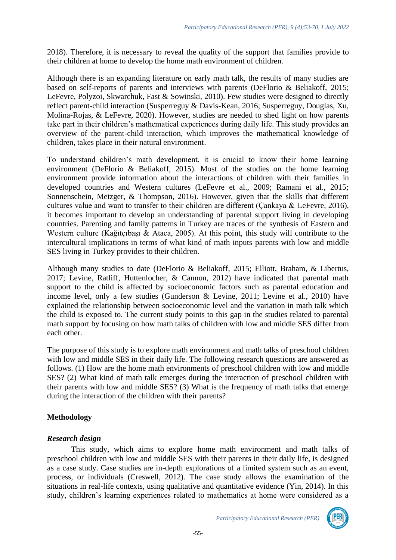2018). Therefore, it is necessary to reveal the quality of the support that families provide to their children at home to develop the home math environment of children.

Although there is an expanding literature on early math talk, the results of many studies are based on self-reports of parents and interviews with parents (DeFlorio & Beliakoff, 2015; LeFevre, Polyzoi, Skwarchuk, Fast & Sowinski, 2010). Few studies were designed to directly reflect parent-child interaction (Susperreguy & Davis-Kean, 2016; Susperreguy, Douglas, Xu, Molina-Rojas, & LeFevre, 2020). However, studies are needed to shed light on how parents take part in their children's mathematical experiences during daily life. This study provides an overview of the parent-child interaction, which improves the mathematical knowledge of children, takes place in their natural environment.

To understand children's math development, it is crucial to know their home learning environment (DeFlorio & Beliakoff, 2015). Most of the studies on the home learning environment provide information about the interactions of children with their families in developed countries and Western cultures (LeFevre et al., 2009; Ramani et al., 2015; Sonnenschein, Metzger, & Thompson, 2016). However, given that the skills that different cultures value and want to transfer to their children are different (Çankaya & LeFevre, 2016), it becomes important to develop an understanding of parental support living in developing countries. Parenting and family patterns in Turkey are traces of the synthesis of Eastern and Western culture (Kağıtçıbaşı & Ataca, 2005). At this point, this study will contribute to the intercultural implications in terms of what kind of math inputs parents with low and middle SES living in Turkey provides to their children.

Although many studies to date (DeFlorio & Beliakoff, 2015; Elliott, Braham, & Libertus, 2017; Levine, Ratliff, Huttenlocher, & Cannon, 2012) have indicated that parental math support to the child is affected by socioeconomic factors such as parental education and income level, only a few studies (Gunderson & Levine, 2011; Levine et al., 2010) have explained the relationship between socioeconomic level and the variation in math talk which the child is exposed to. The current study points to this gap in the studies related to parental math support by focusing on how math talks of children with low and middle SES differ from each other.

The purpose of this study is to explore math environment and math talks of preschool children with low and middle SES in their daily life. The following research questions are answered as follows. (1) How are the home math environments of preschool children with low and middle SES? (2) What kind of math talk emerges during the interaction of preschool children with their parents with low and middle SES? (3) What is the frequency of math talks that emerge during the interaction of the children with their parents?

# **Methodology**

## *Research design*

This study, which aims to explore home math environment and math talks of preschool children with low and middle SES with their parents in their daily life, is designed as a case study. Case studies are in-depth explorations of a limited system such as an event, process, or individuals (Creswell, 2012). The case study allows the examination of the situations in real-life contexts, using qualitative and quantitative evidence (Yin, 2014). In this study, children's learning experiences related to mathematics at home were considered as a

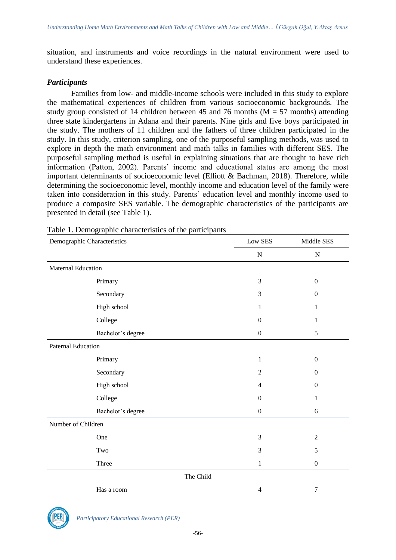situation, and instruments and voice recordings in the natural environment were used to understand these experiences.

### *Participants*

Families from low- and middle-income schools were included in this study to explore the mathematical experiences of children from various socioeconomic backgrounds. The study group consisted of 14 children between 45 and 76 months ( $M = 57$  months) attending three state kindergartens in Adana and their parents. Nine girls and five boys participated in the study. The mothers of 11 children and the fathers of three children participated in the study. In this study, criterion sampling, one of the purposeful sampling methods, was used to explore in depth the math environment and math talks in families with different SES. The purposeful sampling method is useful in explaining situations that are thought to have rich information (Patton, 2002). Parents' income and educational status are among the most important determinants of socioeconomic level (Elliott & Bachman, 2018). Therefore, while determining the socioeconomic level, monthly income and education level of the family were taken into consideration in this study. Parents' education level and monthly income used to produce a composite SES variable. The demographic characteristics of the participants are presented in detail (see Table 1).

| Demographic Characteristics | Low SES          | Middle SES       |
|-----------------------------|------------------|------------------|
|                             | ${\bf N}$        | ${\bf N}$        |
| <b>Maternal Education</b>   |                  |                  |
| Primary                     | 3                | $\boldsymbol{0}$ |
| Secondary                   | $\mathfrak{Z}$   | $\boldsymbol{0}$ |
| High school                 | 1                | 1                |
| College                     | $\boldsymbol{0}$ | 1                |
| Bachelor's degree           | $\boldsymbol{0}$ | 5                |
| <b>Paternal Education</b>   |                  |                  |
| Primary                     | $\mathbf{1}$     | $\boldsymbol{0}$ |
| Secondary                   | $\overline{2}$   | $\mathbf{0}$     |
| High school                 | $\overline{4}$   | $\mathbf{0}$     |
| College                     | $\mathbf{0}$     | 1                |
| Bachelor's degree           | $\boldsymbol{0}$ | $\sqrt{6}$       |
| Number of Children          |                  |                  |
| One                         | $\mathfrak{Z}$   | $\sqrt{2}$       |
| Two                         | 3                | 5                |
| Three                       | $\,1$            | $\boldsymbol{0}$ |
| The Child                   |                  |                  |
| Has a room                  | $\overline{4}$   | 7                |

Table 1. Demographic characteristics of the participants

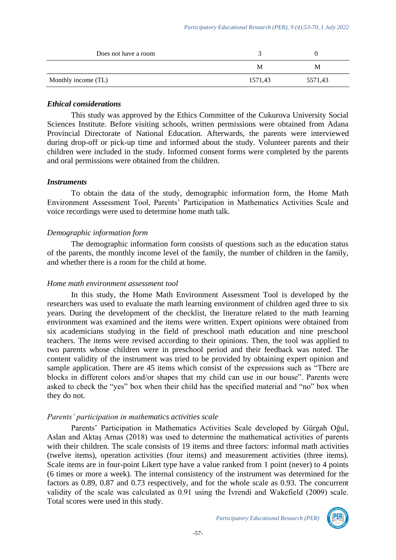| Does not have a room |         |         |
|----------------------|---------|---------|
|                      | M       | M       |
| Monthly income (TL)  | 1571.43 | 5571,43 |

#### *Ethical considerations*

This study was approved by the Ethics Committee of the Cukurova University Social Sciences Institute. Before visiting schools, written permissions were obtained from Adana Provincial Directorate of National Education. Afterwards, the parents were interviewed during drop-off or pick-up time and informed about the study. Volunteer parents and their children were included in the study. Informed consent forms were completed by the parents and oral permissions were obtained from the children.

### *Instruments*

To obtain the data of the study, demographic information form, the Home Math Environment Assessment Tool, Parents' Participation in Mathematics Activities Scale and voice recordings were used to determine home math talk.

### *Demographic information form*

The demographic information form consists of questions such as the education status of the parents, the monthly income level of the family, the number of children in the family, and whether there is a room for the child at home.

### *Home math environment assessment tool*

In this study, the Home Math Environment Assessment Tool is developed by the researchers was used to evaluate the math learning environment of children aged three to six years. During the development of the checklist, the literature related to the math learning environment was examined and the items were written. Expert opinions were obtained from six academicians studying in the field of preschool math education and nine preschool teachers. The items were revised according to their opinions. Then, the tool was applied to two parents whose children were in preschool period and their feedback was noted. The content validity of the instrument was tried to be provided by obtaining expert opinion and sample application. There are 45 items which consist of the expressions such as "There are blocks in different colors and/or shapes that my child can use in our house". Parents were asked to check the "yes" box when their child has the specified material and "no" box when they do not.

### *Parents' participation in mathematics activities scale*

Parents' Participation in Mathematics Activities Scale developed by Gürgah Oğul, Aslan and Aktaş Arnas (2018) was used to determine the mathematical activities of parents with their children. The scale consists of 19 items and three factors: informal math activities (twelve items), operation activities (four items) and measurement activities (three items). Scale items are in four-point Likert type have a value ranked from 1 point (never) to 4 points (6 times or more a week). The internal consistency of the instrument was determined for the factors as 0.89, 0.87 and 0.73 respectively, and for the whole scale as 0.93. The concurrent validity of the scale was calculated as 0.91 using the İvrendi and Wakefield (2009) scale. Total scores were used in this study.

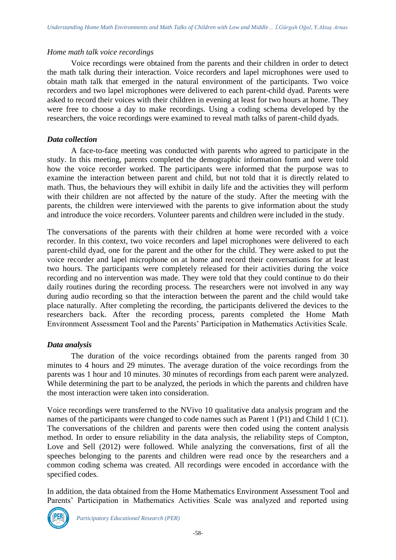### *Home math talk voice recordings*

Voice recordings were obtained from the parents and their children in order to detect the math talk during their interaction. Voice recorders and lapel microphones were used to obtain math talk that emerged in the natural environment of the participants. Two voice recorders and two lapel microphones were delivered to each parent-child dyad. Parents were asked to record their voices with their children in evening at least for two hours at home. They were free to choose a day to make recordings. Using a coding schema developed by the researchers, the voice recordings were examined to reveal math talks of parent-child dyads.

### *Data collection*

A face-to-face meeting was conducted with parents who agreed to participate in the study. In this meeting, parents completed the demographic information form and were told how the voice recorder worked. The participants were informed that the purpose was to examine the interaction between parent and child, but not told that it is directly related to math. Thus, the behaviours they will exhibit in daily life and the activities they will perform with their children are not affected by the nature of the study. After the meeting with the parents, the children were interviewed with the parents to give information about the study and introduce the voice recorders. Volunteer parents and children were included in the study.

The conversations of the parents with their children at home were recorded with a voice recorder. In this context, two voice recorders and lapel microphones were delivered to each parent-child dyad, one for the parent and the other for the child. They were asked to put the voice recorder and lapel microphone on at home and record their conversations for at least two hours. The participants were completely released for their activities during the voice recording and no intervention was made. They were told that they could continue to do their daily routines during the recording process. The researchers were not involved in any way during audio recording so that the interaction between the parent and the child would take place naturally. After completing the recording, the participants delivered the devices to the researchers back. After the recording process, parents completed the Home Math Environment Assessment Tool and the Parents' Participation in Mathematics Activities Scale.

## *Data analysis*

The duration of the voice recordings obtained from the parents ranged from 30 minutes to 4 hours and 29 minutes. The average duration of the voice recordings from the parents was 1 hour and 10 minutes. 30 minutes of recordings from each parent were analyzed. While determining the part to be analyzed, the periods in which the parents and children have the most interaction were taken into consideration.

Voice recordings were transferred to the NVivo 10 qualitative data analysis program and the names of the participants were changed to code names such as Parent 1 (P1) and Child 1 (C1). The conversations of the children and parents were then coded using the content analysis method. In order to ensure reliability in the data analysis, the reliability steps of Compton, Love and Sell (2012) were followed. While analyzing the conversations, first of all the speeches belonging to the parents and children were read once by the researchers and a common coding schema was created. All recordings were encoded in accordance with the specified codes.

In addition, the data obtained from the Home Mathematics Environment Assessment Tool and Parents' Participation in Mathematics Activities Scale was analyzed and reported using

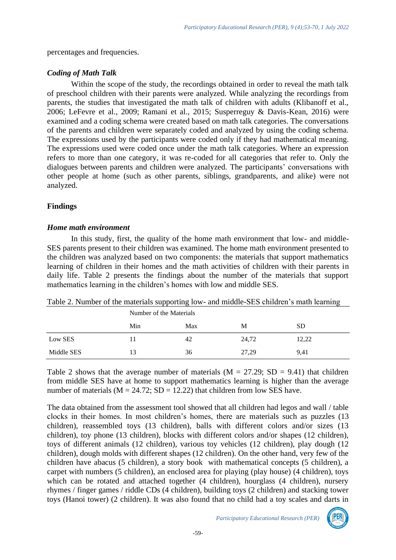percentages and frequencies.

## *Coding of Math Talk*

Within the scope of the study, the recordings obtained in order to reveal the math talk of preschool children with their parents were analyzed. While analyzing the recordings from parents, the studies that investigated the math talk of children with adults (Klibanoff et al., 2006; LeFevre et al., 2009; Ramani et al., 2015; Susperreguy & Davis-Kean, 2016) were examined and a coding schema were created based on math talk categories. The conversations of the parents and children were separately coded and analyzed by using the coding schema. The expressions used by the participants were coded only if they had mathematical meaning. The expressions used were coded once under the math talk categories. Where an expression refers to more than one category, it was re-coded for all categories that refer to. Only the dialogues between parents and children were analyzed. The participants' conversations with other people at home (such as other parents, siblings, grandparents, and alike) were not analyzed.

## **Findings**

## *Home math environment*

In this study, first, the quality of the home math environment that low- and middle-SES parents present to their children was examined. The home math environment presented to the children was analyzed based on two components: the materials that support mathematics learning of children in their homes and the math activities of children with their parents in daily life. Table 2 presents the findings about the number of the materials that support mathematics learning in the children's homes with low and middle SES.

|            | Number of the Materials |     |       |           |  |
|------------|-------------------------|-----|-------|-----------|--|
|            | Min                     | Max | М     | <b>SD</b> |  |
| Low SES    | 11                      | 42  | 24,72 | 12,22     |  |
| Middle SES | 13                      | 36  | 27,29 | 9,41      |  |

Table 2. Number of the materials supporting low- and middle-SES children's math learning

Table 2 shows that the average number of materials  $(M = 27.29; SD = 9.41)$  that children from middle SES have at home to support mathematics learning is higher than the average number of materials ( $M = 24.72$ ;  $SD = 12.22$ ) that children from low SES have.

The data obtained from the assessment tool showed that all children had legos and wall / table clocks in their homes. In most children's homes, there are materials such as puzzles (13 children), reassembled toys (13 children), balls with different colors and/or sizes (13 children), toy phone (13 children), blocks with different colors and/or shapes (12 children), toys of different animals (12 children), various toy vehicles (12 children), play dough (12 children), dough molds with different shapes (12 children). On the other hand, very few of the children have abacus (5 children), a story book with mathematical concepts (5 children), a carpet with numbers (5 children), an enclosed area for playing (play house) (4 children), toys which can be rotated and attached together (4 children), hourglass (4 children), nursery rhymes / finger games / riddle CDs (4 children), building toys (2 children) and stacking tower toys (Hanoi tower) (2 children). It was also found that no child had a toy scales and darts in

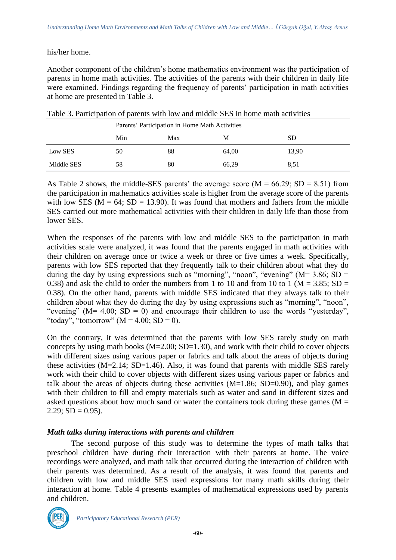### his/her home.

Another component of the children's home mathematics environment was the participation of parents in home math activities. The activities of the parents with their children in daily life were examined. Findings regarding the frequency of parents' participation in math activities at home are presented in Table 3.

|                              | Parents' Participation in Home Math Activities |    |       |       |  |  |
|------------------------------|------------------------------------------------|----|-------|-------|--|--|
| Min<br>Max<br><b>SD</b><br>М |                                                |    |       |       |  |  |
| Low SES                      | 50                                             | 88 | 64.00 | 13,90 |  |  |
| Middle SES                   | 58                                             | 80 | 66,29 | 8.51  |  |  |

| Table 3. Participation of parents with low and middle SES in home math activities |  |  |  |  |  |  |
|-----------------------------------------------------------------------------------|--|--|--|--|--|--|
|                                                                                   |  |  |  |  |  |  |

As Table 2 shows, the middle-SES parents' the average score ( $M = 66.29$ ; SD = 8.51) from the participation in mathematics activities scale is higher from the average score of the parents with low SES ( $M = 64$ ; SD = 13.90). It was found that mothers and fathers from the middle SES carried out more mathematical activities with their children in daily life than those from lower SES.

When the responses of the parents with low and middle SES to the participation in math activities scale were analyzed, it was found that the parents engaged in math activities with their children on average once or twice a week or three or five times a week. Specifically, parents with low SES reported that they frequently talk to their children about what they do during the day by using expressions such as "morning", "noon", "evening" ( $M = 3.86$ ; SD = 0.38) and ask the child to order the numbers from 1 to 10 and from 10 to 1 ( $M = 3.85$ ; SD = 0.38). On the other hand, parents with middle SES indicated that they always talk to their children about what they do during the day by using expressions such as "morning", "noon", "evening" ( $M = 4.00$ ;  $SD = 0$ ) and encourage their children to use the words "yesterday", "today", "tomorrow" ( $M = 4.00$ ; SD = 0).

On the contrary, it was determined that the parents with low SES rarely study on math concepts by using math books  $(M=2.00; SD=1.30)$ , and work with their child to cover objects with different sizes using various paper or fabrics and talk about the areas of objects during these activities  $(M=2.14; SD=1.46)$ . Also, it was found that parents with middle SES rarely work with their child to cover objects with different sizes using various paper or fabrics and talk about the areas of objects during these activities  $(M=1.86; SD=0.90)$ , and play games with their children to fill and empty materials such as water and sand in different sizes and asked questions about how much sand or water the containers took during these games ( $M =$  $2.29$ ; SD = 0.95).

## *Math talks during interactions with parents and children*

The second purpose of this study was to determine the types of math talks that preschool children have during their interaction with their parents at home. The voice recordings were analyzed, and math talk that occurred during the interaction of children with their parents was determined. As a result of the analysis, it was found that parents and children with low and middle SES used expressions for many math skills during their interaction at home. Table 4 presents examples of mathematical expressions used by parents and children.

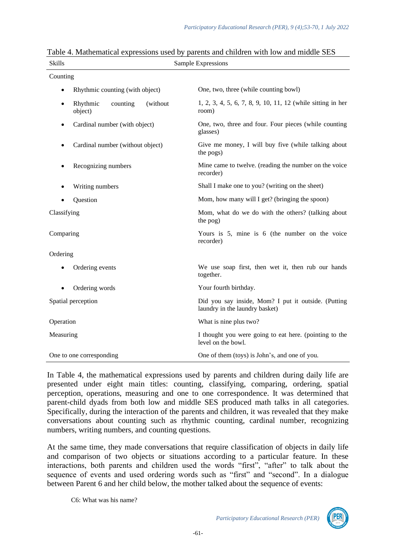| <b>Skills</b> | Sample Expressions                          |                                                                                       |  |  |  |  |
|---------------|---------------------------------------------|---------------------------------------------------------------------------------------|--|--|--|--|
| Counting      |                                             |                                                                                       |  |  |  |  |
|               | Rhythmic counting (with object)             | One, two, three (while counting bowl)                                                 |  |  |  |  |
|               | (without<br>Rhythmic<br>counting<br>object) | 1, 2, 3, 4, 5, 6, 7, 8, 9, 10, 11, 12 (while sitting in her<br>room)                  |  |  |  |  |
|               | Cardinal number (with object)               | One, two, three and four. Four pieces (while counting<br>glasses)                     |  |  |  |  |
|               | Cardinal number (without object)            | Give me money, I will buy five (while talking about<br>the pogs)                      |  |  |  |  |
|               | Recognizing numbers                         | Mine came to twelve. (reading the number on the voice<br>recorder)                    |  |  |  |  |
|               | Writing numbers                             | Shall I make one to you? (writing on the sheet)                                       |  |  |  |  |
|               | Question                                    | Mom, how many will I get? (bringing the spoon)                                        |  |  |  |  |
| Classifying   |                                             | Mom, what do we do with the others? (talking about<br>the pog)                        |  |  |  |  |
| Comparing     |                                             | Yours is 5, mine is 6 (the number on the voice<br>recorder)                           |  |  |  |  |
| Ordering      |                                             |                                                                                       |  |  |  |  |
|               | Ordering events                             | We use soap first, then wet it, then rub our hands<br>together.                       |  |  |  |  |
|               | Ordering words                              | Your fourth birthday.                                                                 |  |  |  |  |
|               | Spatial perception                          | Did you say inside, Mom? I put it outside. (Putting<br>laundry in the laundry basket) |  |  |  |  |
| Operation     |                                             | What is nine plus two?                                                                |  |  |  |  |
| Measuring     |                                             | I thought you were going to eat here. (pointing to the<br>level on the bowl.          |  |  |  |  |
|               | One to one corresponding                    | One of them (toys) is John's, and one of you.                                         |  |  |  |  |

In Table 4, the mathematical expressions used by parents and children during daily life are presented under eight main titles: counting, classifying, comparing, ordering, spatial perception, operations, measuring and one to one correspondence. It was determined that parent-child dyads from both low and middle SES produced math talks in all categories. Specifically, during the interaction of the parents and children, it was revealed that they make conversations about counting such as rhythmic counting, cardinal number, recognizing numbers, writing numbers, and counting questions.

At the same time, they made conversations that require classification of objects in daily life and comparison of two objects or situations according to a particular feature. In these interactions, both parents and children used the words "first", "after" to talk about the sequence of events and used ordering words such as "first" and "second". In a dialogue between Parent 6 and her child below, the mother talked about the sequence of events:

C6: What was his name?

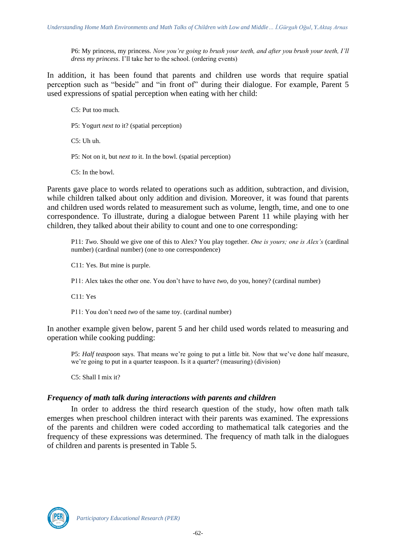P6: My princess, my princess. *Now you're going to brush your teeth, and after you brush your teeth, I'll dress my princess*. I'll take her to the school. (ordering events)

In addition, it has been found that parents and children use words that require spatial perception such as "beside" and "in front of" during their dialogue. For example, Parent 5 used expressions of spatial perception when eating with her child:

C5: Put too much.

P5: Yogurt *next to* it? (spatial perception)

C5: Uh uh.

P5: Not on it, but *next to* it. In the bowl. (spatial perception)

C5: In the bowl.

Parents gave place to words related to operations such as addition, subtraction, and division, while children talked about only addition and division. Moreover, it was found that parents and children used words related to measurement such as volume, length, time, and one to one correspondence. To illustrate, during a dialogue between Parent 11 while playing with her children, they talked about their ability to count and one to one corresponding:

P11: *Two*. Should we give one of this to Alex? You play together. *One is yours; one is Alex's* (cardinal number) (cardinal number) (one to one correspondence)

C11: Yes. But mine is purple.

P11: Alex takes the other one. You don't have to have *two*, do you, honey? (cardinal number)

C11: Yes

P11: You don't need *two* of the same toy. (cardinal number)

In another example given below, parent 5 and her child used words related to measuring and operation while cooking pudding:

P5: *Half teaspoon* says. That means we're going to put a little bit. Now that we've done half measure, we're going to put in a quarter teaspoon. Is it a quarter? (measuring) (division)

C5: Shall I mix it?

#### *Frequency of math talk during interactions with parents and children*

In order to address the third research question of the study, how often math talk emerges when preschool children interact with their parents was examined. The expressions of the parents and children were coded according to mathematical talk categories and the frequency of these expressions was determined. The frequency of math talk in the dialogues of children and parents is presented in Table 5.

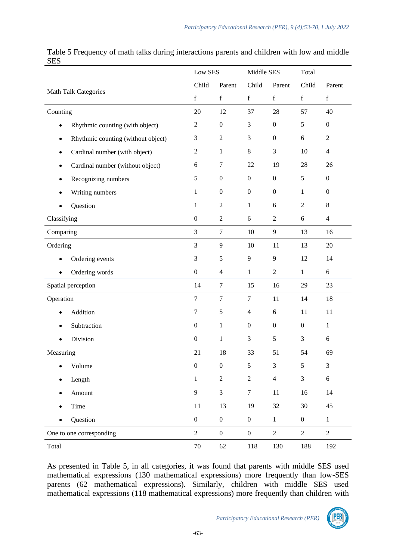|                      |                                    | Low SES          |                  | Middle SES       |                  | Total            |                  |
|----------------------|------------------------------------|------------------|------------------|------------------|------------------|------------------|------------------|
| Math Talk Categories |                                    | Child            | Parent           | Child            | Parent           | Child            | Parent           |
|                      |                                    | $\mathbf f$      | $\mathbf f$      | $\mathbf f$      | $\mathbf f$      | $\mathbf f$      | $\mathbf f$      |
| Counting             |                                    | 20               | 12               | 37               | 28               | 57               | 40               |
| $\bullet$            | Rhythmic counting (with object)    | 2                | $\boldsymbol{0}$ | 3                | $\boldsymbol{0}$ | 5                | $\boldsymbol{0}$ |
| $\bullet$            | Rhythmic counting (without object) | 3                | $\sqrt{2}$       | 3                | $\boldsymbol{0}$ | 6                | $\mathbf{2}$     |
| $\bullet$            | Cardinal number (with object)      | $\mathbf{2}$     | 1                | $\,8\,$          | 3                | 10               | $\overline{4}$   |
| ٠                    | Cardinal number (without object)   | 6                | 7                | 22               | 19               | 28               | 26               |
| ٠                    | Recognizing numbers                | 5                | $\boldsymbol{0}$ | $\boldsymbol{0}$ | $\boldsymbol{0}$ | 5                | $\boldsymbol{0}$ |
|                      | Writing numbers                    | $\mathbf{1}$     | $\boldsymbol{0}$ | $\boldsymbol{0}$ | $\boldsymbol{0}$ | 1                | $\boldsymbol{0}$ |
|                      | Question                           | 1                | $\overline{2}$   | 1                | 6                | $\overline{2}$   | 8                |
| Classifying          |                                    | $\boldsymbol{0}$ | $\sqrt{2}$       | $\sqrt{6}$       | $\sqrt{2}$       | 6                | $\overline{4}$   |
| Comparing            |                                    | $\mathfrak{Z}$   | $\tau$           | 10               | 9                | 13               | 16               |
| Ordering             |                                    | 3                | 9                | 10               | 11               | 13               | 20               |
| $\bullet$            | Ordering events                    | 3                | 5                | 9                | 9                | 12               | 14               |
| $\bullet$            | Ordering words                     | $\boldsymbol{0}$ | $\overline{4}$   | $\mathbf{1}$     | $\sqrt{2}$       | $\mathbf{1}$     | 6                |
|                      | Spatial perception                 | 14               | $\tau$           | 15               | 16               | 23<br>29         |                  |
| Operation            |                                    | 7                | $\tau$           | $\tau$           | 11               | 14               | 18               |
|                      | Addition                           | 7                | 5                | $\overline{4}$   | 6                | 11               | 11               |
| $\bullet$            | Subtraction                        | $\mathbf{0}$     | 1                | $\overline{0}$   | $\boldsymbol{0}$ | $\overline{0}$   | $\mathbf{1}$     |
| $\bullet$            | Division                           | $\boldsymbol{0}$ | $\mathbf{1}$     | 3                | 5                | 3                | 6                |
| Measuring            |                                    | 21               | 18               | 33               | 51               | 54               | 69               |
| ٠                    | Volume                             | $\boldsymbol{0}$ | $\boldsymbol{0}$ | 5                | 3                | 5                | 3                |
|                      | Length                             | $\mathbf{1}$     | $\boldsymbol{2}$ | $\boldsymbol{2}$ | $\overline{4}$   | 3                | 6                |
|                      | Amount                             | 9                | $\mathfrak{Z}$   | $\boldsymbol{7}$ | 11               | 16               | 14               |
| $\bullet$            | Time                               | 11               | 13               | 19               | 32               | $30\,$           | 45               |
|                      | Question                           | $\boldsymbol{0}$ | $\boldsymbol{0}$ | $\boldsymbol{0}$ | $\mathbf{1}$     | $\boldsymbol{0}$ | $\mathbf{1}$     |
|                      | One to one corresponding           | $\overline{2}$   | $\overline{0}$   | $\boldsymbol{0}$ | $\overline{2}$   | $\overline{2}$   | $\overline{2}$   |
| Total                |                                    | $70\,$           | 62               | 118              | 130              | 188              | 192              |

# Table 5 Frequency of math talks during interactions parents and children with low and middle SES

As presented in Table 5, in all categories, it was found that parents with middle SES used mathematical expressions (130 mathematical expressions) more frequently than low-SES parents (62 mathematical expressions). Similarly, children with middle SES used mathematical expressions (118 mathematical expressions) more frequently than children with

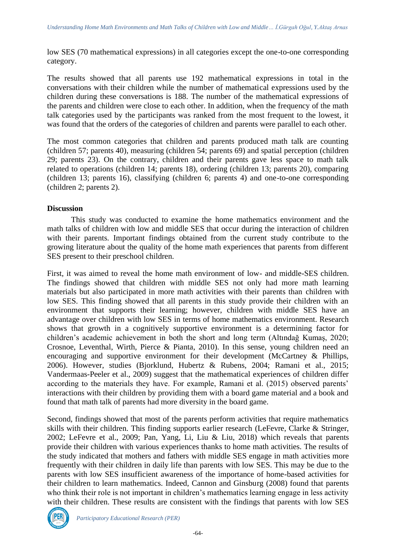low SES (70 mathematical expressions) in all categories except the one-to-one corresponding category.

The results showed that all parents use 192 mathematical expressions in total in the conversations with their children while the number of mathematical expressions used by the children during these conversations is 188. The number of the mathematical expressions of the parents and children were close to each other. In addition, when the frequency of the math talk categories used by the participants was ranked from the most frequent to the lowest, it was found that the orders of the categories of children and parents were parallel to each other.

The most common categories that children and parents produced math talk are counting (children 57; parents 40), measuring (children 54; parents 69) and spatial perception (children 29; parents 23). On the contrary, children and their parents gave less space to math talk related to operations (children 14; parents 18), ordering (children 13; parents 20), comparing (children 13; parents 16), classifying (children 6; parents 4) and one-to-one corresponding (children 2; parents 2).

### **Discussion**

This study was conducted to examine the home mathematics environment and the math talks of children with low and middle SES that occur during the interaction of children with their parents. Important findings obtained from the current study contribute to the growing literature about the quality of the home math experiences that parents from different SES present to their preschool children.

First, it was aimed to reveal the home math environment of low- and middle-SES children. The findings showed that children with middle SES not only had more math learning materials but also participated in more math activities with their parents than children with low SES. This finding showed that all parents in this study provide their children with an environment that supports their learning; however, children with middle SES have an advantage over children with low SES in terms of home mathematics environment. Research shows that growth in a cognitively supportive environment is a determining factor for children's academic achievement in both the short and long term (Altındağ Kumaş, 2020; Crosnoe, Leventhal, Wirth, Pierce & Pianta, 2010). In this sense, young children need an encouraging and supportive environment for their development (McCartney & Phillips, 2006). However, studies (Bjorklund, Hubertz & Rubens, 2004; Ramani et al., 2015; Vandermaas-Peeler et al., 2009) suggest that the mathematical experiences of children differ according to the materials they have. For example, Ramani et al. (2015) observed parents' interactions with their children by providing them with a board game material and a book and found that math talk of parents had more diversity in the board game.

Second, findings showed that most of the parents perform activities that require mathematics skills with their children. This finding supports earlier research (LeFevre, Clarke & Stringer, 2002; LeFevre et al., 2009; Pan, Yang, Li, Liu & Liu, 2018) which reveals that parents provide their children with various experiences thanks to home math activities. The results of the study indicated that mothers and fathers with middle SES engage in math activities more frequently with their children in daily life than parents with low SES. This may be due to the parents with low SES insufficient awareness of the importance of home-based activities for their children to learn mathematics. Indeed, Cannon and Ginsburg (2008) found that parents who think their role is not important in children's mathematics learning engage in less activity with their children. These results are consistent with the findings that parents with low SES

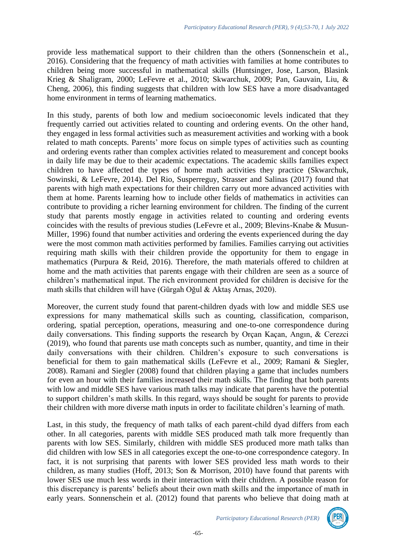provide less mathematical support to their children than the others (Sonnenschein et al., 2016). Considering that the frequency of math activities with families at home contributes to children being more successful in mathematical skills (Huntsinger, Jose, Larson, Blasink Krieg & Shaligram, 2000; LeFevre et al., 2010; Skwarchuk, 2009; Pan, Gauvain, Liu, & Cheng, 2006), this finding suggests that children with low SES have a more disadvantaged home environment in terms of learning mathematics.

In this study, parents of both low and medium socioeconomic levels indicated that they frequently carried out activities related to counting and ordering events. On the other hand, they engaged in less formal activities such as measurement activities and working with a book related to math concepts. Parents' more focus on simple types of activities such as counting and ordering events rather than complex activities related to measurement and concept books in daily life may be due to their academic expectations. The academic skills families expect children to have affected the types of home math activities they practice (Skwarchuk, Sowinski, & LeFevre, 2014). Del Rio, Susperreguy, Strasser and Salinas (2017) found that parents with high math expectations for their children carry out more advanced activities with them at home. Parents learning how to include other fields of mathematics in activities can contribute to providing a richer learning environment for children. The finding of the current study that parents mostly engage in activities related to counting and ordering events coincides with the results of previous studies (LeFevre et al., 2009; Blevins-Knabe & Musun-Miller, 1996) found that number activities and ordering the events experienced during the day were the most common math activities performed by families. Families carrying out activities requiring math skills with their children provide the opportunity for them to engage in mathematics (Purpura & Reid, 2016). Therefore, the math materials offered to children at home and the math activities that parents engage with their children are seen as a source of children's mathematical input. The rich environment provided for children is decisive for the math skills that children will have (Gürgah Oğul & Aktaş Arnas, 2020).

Moreover, the current study found that parent-children dyads with low and middle SES use expressions for many mathematical skills such as counting, classification, comparison, ordering, spatial perception, operations, measuring and one-to-one correspondence during daily conversations. This finding supports the research by Orçan Kaçan, Angın, & Cerezci (2019), who found that parents use math concepts such as number, quantity, and time in their daily conversations with their children. Children's exposure to such conversations is beneficial for them to gain mathematical skills (LeFevre et al., 2009; Ramani & Siegler, 2008). Ramani and Siegler (2008) found that children playing a game that includes numbers for even an hour with their families increased their math skills. The finding that both parents with low and middle SES have various math talks may indicate that parents have the potential to support children's math skills. In this regard, ways should be sought for parents to provide their children with more diverse math inputs in order to facilitate children's learning of math.

Last, in this study, the frequency of math talks of each parent-child dyad differs from each other. In all categories, parents with middle SES produced math talk more frequently than parents with low SES. Similarly, children with middle SES produced more math talks than did children with low SES in all categories except the one-to-one correspondence category. In fact, it is not surprising that parents with lower SES provided less math words to their children, as many studies (Hoff, 2013; Son & Morrison, 2010) have found that parents with lower SES use much less words in their interaction with their children. A possible reason for this discrepancy is parents' beliefs about their own math skills and the importance of math in early years. Sonnenschein et al. (2012) found that parents who believe that doing math at

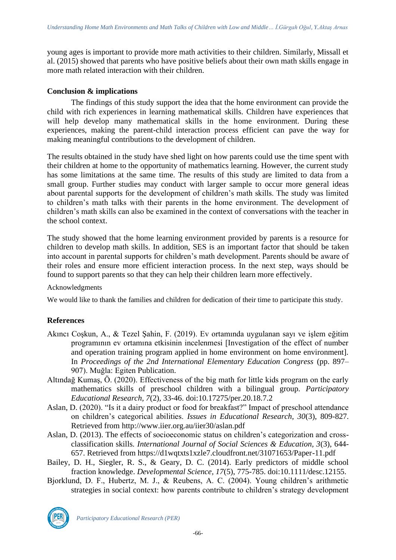young ages is important to provide more math activities to their children. Similarly, Missall et al. (2015) showed that parents who have positive beliefs about their own math skills engage in more math related interaction with their children.

## **Conclusion & implications**

The findings of this study support the idea that the home environment can provide the child with rich experiences in learning mathematical skills. Children have experiences that will help develop many mathematical skills in the home environment. During these experiences, making the parent-child interaction process efficient can pave the way for making meaningful contributions to the development of children.

The results obtained in the study have shed light on how parents could use the time spent with their children at home to the opportunity of mathematics learning. However, the current study has some limitations at the same time. The results of this study are limited to data from a small group. Further studies may conduct with larger sample to occur more general ideas about parental supports for the development of children's math skills. The study was limited to children's math talks with their parents in the home environment. The development of children's math skills can also be examined in the context of conversations with the teacher in the school context.

The study showed that the home learning environment provided by parents is a resource for children to develop math skills. In addition, SES is an important factor that should be taken into account in parental supports for children's math development. Parents should be aware of their roles and ensure more efficient interaction process. In the next step, ways should be found to support parents so that they can help their children learn more effectively.

### Acknowledgments

We would like to thank the families and children for dedication of their time to participate this study.

## **References**

- Akıncı Coşkun, A., & Tezel Şahin, F. (2019). Ev ortamında uygulanan sayı ve işlem eğitim programının ev ortamına etkisinin incelenmesi [Investigation of the effect of number and operation training program applied in home environment on home environment]. In *Proceedings of the 2nd International Elementary Education Congress* (pp. 897– 907). Muğla: Egiten Publication.
- Altındağ Kumaş, Ö. (2020). Effectiveness of the big math for little kids program on the early mathematics skills of preschool children with a bilingual group. *Participatory Educational Research, 7*(2), 33-46. doi:10.17275/per.20.18.7.2
- Aslan, D. (2020). "Is it a dairy product or food for breakfast?" Impact of preschool attendance on children's categorical abilities. *Issues in Educational Research, 30*(3), 809-827. Retrieved from http://www.iier.org.au/iier30/aslan.pdf
- Aslan, D. (2013). The effects of socioeconomic status on children's categorization and crossclassification skills. *International Journal of Social Sciences & Education, 3*(3), 644- 657. Retrieved from https://d1wqtxts1xzle7.cloudfront.net/31071653/Paper-11.pdf
- Bailey, D. H., Siegler, R. S., & Geary, D. C. (2014). Early predictors of middle school fraction knowledge. *Developmental Science, 17*(5), 775-785. doi:10.1111/desc.12155.
- Bjorklund, D. F., Hubertz, M. J., & Reubens, A. C. (2004). Young children's arithmetic strategies in social context: how parents contribute to children's strategy development

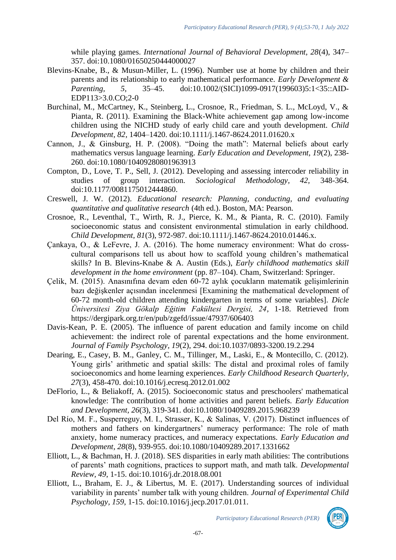while playing games. *International Journal of Behavioral Development, 28*(4), 347– 357. doi:10.1080/01650250444000027

- Blevins-Knabe, B., & Musun-Miller, L. (1996). Number use at home by children and their parents and its relationship to early mathematical performance. *Early Development & Parenting, 5*, 35–45. doi:10.1002/(SICI)1099-0917(199603)5:1<35::AID-EDP113>3.0.CO;2-0
- Burchinal, M., McCartney, K., Steinberg, L., Crosnoe, R., Friedman, S. L., McLoyd, V., & Pianta, R. (2011). Examining the Black-White achievement gap among low-income children using the NICHD study of early child care and youth development. *Child Development, 82*, 1404–1420. doi:10.1111/j.1467-8624.2011.01620.x
- Cannon, J., & Ginsburg, H. P. (2008). "Doing the math": Maternal beliefs about early mathematics versus language learning. *Early Education and Development, 19*(2), 238- 260. doi:10.1080/10409280801963913
- Compton, D., Love, T. P., Sell, J. (2012). Developing and assessing intercoder reliability in studies of group interaction. *Sociological Methodology, 42,* 348-364. doi:10.1177/0081175012444860.
- Creswell, J. W. (2012). *Educational research: Planning, conducting, and evaluating quantitative and qualitative research* (4th ed.). Boston, MA: Pearson.
- Crosnoe, R., Leventhal, T., Wirth, R. J., Pierce, K. M., & Pianta, R. C. (2010). Family socioeconomic status and consistent environmental stimulation in early childhood. *Child Development, 81*(3), 972-987. doi:10.1111/j.1467-8624.2010.01446.x.
- Çankaya, O., & LeFevre, J. A. (2016). The home numeracy environment: What do crosscultural comparisons tell us about how to scaffold young children's mathematical skills? In B. Blevins-Knabe & A. Austin (Eds.), *Early childhood mathematics skill development in the home environment* (pp. 87–104). Cham, Switzerland: Springer.
- Çelik, M. (2015). Anasınıfına devam eden 60-72 aylık çocukların matematik gelişimlerinin bazı değişkenler açısından incelenmesi [Examining the mathematical development of 60-72 month-old children attending kindergarten in terms of some variables]. *Dicle Üniversitesi Ziya Gökalp Eğitim Fakültesi Dergisi, 24*, 1-18. Retrieved from https://dergipark.org.tr/en/pub/zgefd/issue/47937/606403
- Davis-Kean, P. E. (2005). The influence of parent education and family income on child achievement: the indirect role of parental expectations and the home environment. *Journal of Family Psychology, 19*(2), 294. doi:10.1037/0893-3200.19.2.294
- Dearing, E., Casey, B. M., Ganley, C. M., Tillinger, M., Laski, E., & Montecillo, C. (2012). Young girls' arithmetic and spatial skills: The distal and proximal roles of family socioeconomics and home learning experiences. *Early Childhood Research Quarterly, 27*(3), 458-470. doi:10.1016/j.ecresq.2012.01.002
- DeFlorio, L., & Beliakoff, A. (2015). Socioeconomic status and preschoolers' mathematical knowledge: The contribution of home activities and parent beliefs. *Early Education and Development, 26*(3), 319-341. doi:10.1080/10409289.2015.968239
- Del Río, M. F., Susperreguy, M. I., Strasser, K., & Salinas, V. (2017). Distinct influences of mothers and fathers on kindergartners' numeracy performance: The role of math anxiety, home numeracy practices, and numeracy expectations. *Early Education and Development, 28*(8), 939-955. doi:10.1080/10409289.2017.1331662
- Elliott, L., & Bachman, H. J. (2018). SES disparities in early math abilities: The contributions of parents' math cognitions, practices to support math, and math talk. *Developmental Review, 49*, 1-15. doi:10.1016/j.dr.2018.08.001
- Elliott, L., Braham, E. J., & Libertus, M. E. (2017). Understanding sources of individual variability in parents' number talk with young children. *Journal of Experimental Child Psychology, 159*, 1-15. doi:10.1016/j.jecp.2017.01.011.

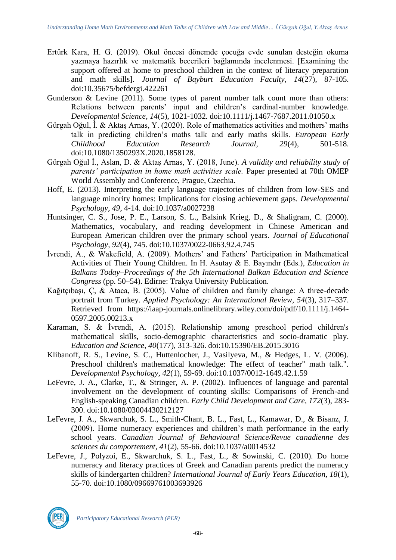- Ertürk Kara, H. G. (2019). Okul öncesi dönemde çocuğa evde sunulan desteğin okuma yazmaya hazırlık ve matematik becerileri bağlamında incelenmesi. [Examining the support offered at home to preschool children in the context of literacy preparation and math skills]. *Journal of Bayburt Education Faculty, 14*(27), 87-105. doi:10.35675/befdergi.422261
- Gunderson & Levine (2011). Some types of parent number talk count more than others: Relations between parents' input and children's cardinal-number knowledge. *Developmental Science, 14*(5), 1021-1032. doi:10.1111/j.1467-7687.2011.01050.x
- Gürgah Oğul, İ. & Aktaş Arnas, Y. (2020). Role of mathematics activities and mothers' maths talk in predicting children's maths talk and early maths skills. *European Early Childhood Education Research Journal, 29*(4), 501-518. doi:10.1080/1350293X.2020.1858128.
- Gürgah Oğul İ., Aslan, D. & Aktaş Arnas, Y. (2018, June). *A validity and reliability study of parents' participation in home math activities scale.* Paper presented at 70th OMEP World Assembly and Conference, Prague, Czechia.
- Hoff, E. (2013). Interpreting the early language trajectories of children from low-SES and language minority homes: Implications for closing achievement gaps. *Developmental Psychology, 49*, 4-14. doi:10.1037/a0027238
- Huntsinger, C. S., Jose, P. E., Larson, S. L., Balsink Krieg, D., & Shaligram, C. (2000). Mathematics, vocabulary, and reading development in Chinese American and European American children over the primary school years. *Journal of Educational Psychology, 92*(4), 745. doi:10.1037/0022-0663.92.4.745
- İvrendi, A., & Wakefield, A. (2009). Mothers' and Fathers' Participation in Mathematical Activities of Their Young Children. In H. Asutay & E. Bayındır (Eds.), *Education in Balkans Today–Proceedings of the 5th International Balkan Education and Science Congress* (pp. 50–54). Edirne: Trakya University Publication.
- Kağıtçıbaşı, Ç, & Ataca, B. (2005). Value of children and family change: A three-decade portrait from Turkey. *Applied Psychology: An International Review, 54*(3), 317–337. Retrieved from https://iaap-journals.onlinelibrary.wiley.com/doi/pdf/10.1111/j.1464- 0597.2005.00213.x
- Karaman, S. & İvrendi, A. (2015). Relationship among preschool period children's mathematical skills, socio-demographic characteristics and socio-dramatic play. *Education and Science, 40*(177), 313-326. doi:10.15390/EB.2015.3016
- Klibanoff, R. S., Levine, S. C., Huttenlocher, J., Vasilyeva, M., & Hedges, L. V. (2006). Preschool children's mathematical knowledge: The effect of teacher" math talk.". *Developmental Psychology, 42*(1), 59-69. doi:10.1037/0012-1649.42.1.59
- LeFevre, J. A., Clarke, T., & Stringer, A. P. (2002). Influences of language and parental involvement on the development of counting skills: Comparisons of French-and English-speaking Canadian children. *Early Child Development and Care, 172*(3), 283- 300. doi:10.1080/03004430212127
- LeFevre, J. A., Skwarchuk, S. L., Smith-Chant, B. L., Fast, L., Kamawar, D., & Bisanz, J. (2009). Home numeracy experiences and children's math performance in the early school years. *Canadian Journal of Behavioural Science/Revue canadienne des sciences du comportement, 41*(2), 55-66. doi:10.1037/a0014532
- LeFevre, J., Polyzoi, E., Skwarchuk, S. L., Fast, L., & Sowinski, C. (2010). Do home numeracy and literacy practices of Greek and Canadian parents predict the numeracy skills of kindergarten children? *International Journal of Early Years Education, 18*(1), 55-70. doi:10.1080/09669761003693926

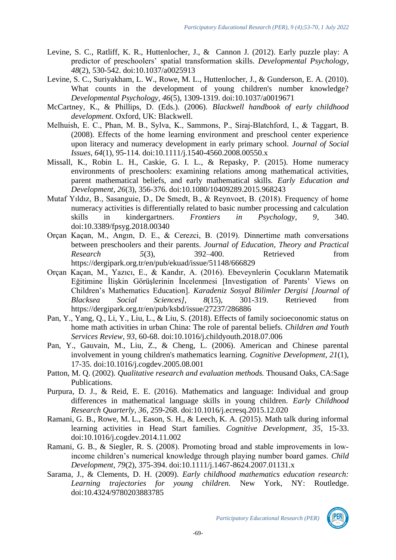- Levine, S. C., Ratliff, K. R., Huttenlocher, J., & Cannon J. (2012). Early puzzle play: A predictor of preschoolers' spatial transformation skills. *Developmental Psychology, 48*(2), 530-542. doi:10.1037/a0025913
- Levine, S. C., Suriyakham, L. W., Rowe, M. L., Huttenlocher, J., & Gunderson, E. A. (2010). What counts in the development of young children's number knowledge? *Developmental Psychology, 46*(5), 1309-1319. doi:10.1037/a0019671
- McCartney, K., & Phillips, D. (Eds.). (2006). *Blackwell handbook of early childhood development.* Oxford, UK: Blackwell.
- Melhuish, E. C., Phan, M. B., Sylva, K., Sammons, P., Siraj‐Blatchford, I., & Taggart, B. (2008). Effects of the home learning environment and preschool center experience upon literacy and numeracy development in early primary school. *Journal of Social Issues, 64*(1), 95-114. doi:10.1111/j.1540-4560.2008.00550.x
- Missall, K., Robin L. H., Caskie, G. I. L., & Repasky, P. (2015). Home numeracy environments of preschoolers: examining relations among mathematical activities, parent mathematical beliefs, and early mathematical skills. *Early Education and Development, 26*(3), 356-376. doi:10.1080/10409289.2015.968243
- Mutaf Yıldız, B., Sasanguie, D., De Smedt, B., & Reynvoet, B. (2018). Frequency of home numeracy activities is differentially related to basic number processing and calculation skills in kindergartners. *Frontiers in Psychology, 9*, 340. doi:10.3389/fpsyg.2018.00340
- Orçan Kaçan, M., Angın, D. E., & Cerezci, B. (2019). Dinnertime math conversations between preschoolers and their parents. *Journal of Education, Theory and Practical Research* 5(3), 392–400. Retrieved from https://dergipark.org.tr/en/pub/ekuad/issue/51148/666829
- Orçan Kaçan, M., Yazıcı, E., & Kandır, A. (2016). Ebeveynlerin Çocukların Matematik Eğitimine İlişkin Görüşlerinin İncelenmesi [Investigation of Parents' Views on Children's Mathematics Education]. *Karadeniz Sosyal Bilimler Dergisi [Journal of Blacksea Social Sciences], 8*(15), 301-319. Retrieved from https://dergipark.org.tr/en/pub/ksbd/issue/27237/286886
- Pan, Y., Yang, Q., Li, Y., Liu, L., & Liu, S. (2018). Effects of family socioeconomic status on home math activities in urban China: The role of parental beliefs. *Children and Youth Services Review, 93*, 60-68. doi:10.1016/j.childyouth.2018.07.006
- Pan, Y., Gauvain, M., Liu, Z., & Cheng, L. (2006). American and Chinese parental involvement in young children's mathematics learning. *Cognitive Development, 21*(1), 17-35. doi:10.1016/j.cogdev.2005.08.001
- Patton, M. Q. (2002). *Qualitative research and evaluation methods.* Thousand Oaks, CA:Sage Publications.
- Purpura, D. J., & Reid, E. E. (2016). Mathematics and language: Individual and group differences in mathematical language skills in young children. *Early Childhood Research Quarterly, 36*, 259-268. doi:10.1016/j.ecresq.2015.12.020
- Ramani, G. B., Rowe, M. L., Eason, S. H., & Leech, K. A. (2015). Math talk during informal learning activities in Head Start families. *Cognitive Development, 35*, 15-33. doi:10.1016/j.cogdev.2014.11.002
- Ramani, G. B., & Siegler, R. S. (2008). Promoting broad and stable improvements in low‐ income children's numerical knowledge through playing number board games. *Child Development, 79*(2), 375-394. doi:10.1111/j.1467-8624.2007.01131.x
- Sarama, J., & Clements, D. H. (2009). *Early childhood mathematics education research: Learning trajectories for young children.* New York, NY: Routledge. doi:10.4324/9780203883785